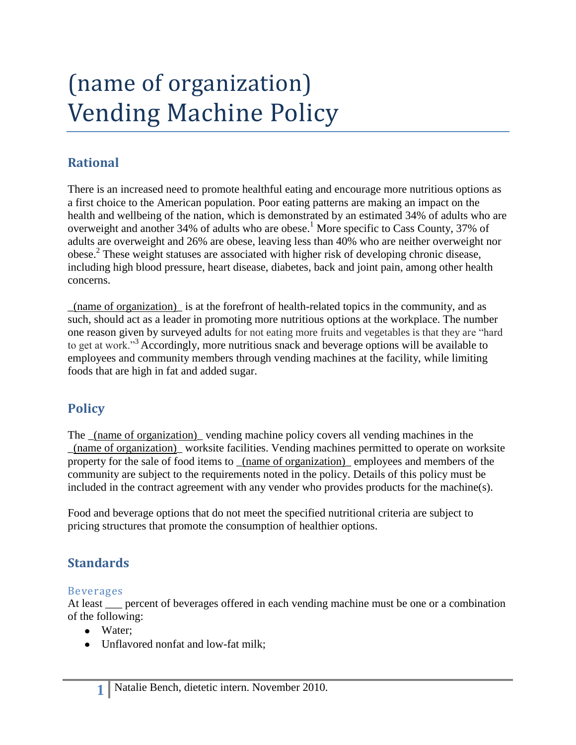# (name of organization) Vending Machine Policy

# **Rational**

There is an increased need to promote healthful eating and encourage more nutritious options as a first choice to the American population. Poor eating patterns are making an impact on the health and wellbeing of the nation, which is demonstrated by an estimated 34% of adults who are overweight and another 34% of adults who are obese. <sup>1</sup> More specific to Cass County, 37% of adults are overweight and 26% are obese, leaving less than 40% who are neither overweight nor obese. 2 These weight statuses are associated with higher risk of developing chronic disease, including high blood pressure, heart disease, diabetes, back and joint pain, among other health concerns.

\_(name of organization)\_ is at the forefront of health-related topics in the community, and as such, should act as a leader in promoting more nutritious options at the workplace. The number one reason given by surveyed adults for not eating more fruits and vegetables is that they are "hard to get at work."<sup>3</sup> Accordingly, more nutritious snack and beverage options will be available to employees and community members through vending machines at the facility, while limiting foods that are high in fat and added sugar.

## **Policy**

The (name of organization) vending machine policy covers all vending machines in the \_(name of organization)\_ worksite facilities. Vending machines permitted to operate on worksite property for the sale of food items to \_(name of organization)\_ employees and members of the community are subject to the requirements noted in the policy. Details of this policy must be included in the contract agreement with any vender who provides products for the machine(s).

Food and beverage options that do not meet the specified nutritional criteria are subject to pricing structures that promote the consumption of healthier options.

## **Standards**

#### Beverages

At least <u>experient</u> of beverages offered in each vending machine must be one or a combination of the following:

- Water:
- Unflavored nonfat and low-fat milk: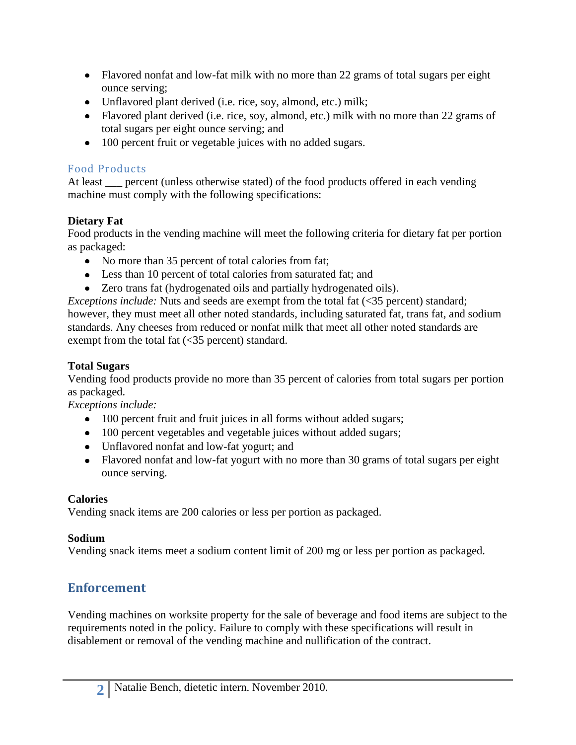- Flavored nonfat and low-fat milk with no more than 22 grams of total sugars per eight ounce serving;
- Unflavored plant derived (i.e. rice, soy, almond, etc.) milk;
- Flavored plant derived (i.e. rice, soy, almond, etc.) milk with no more than 22 grams of total sugars per eight ounce serving; and
- 100 percent fruit or vegetable juices with no added sugars.

#### Food Products

At least percent (unless otherwise stated) of the food products offered in each vending machine must comply with the following specifications:

#### **Dietary Fat**

Food products in the vending machine will meet the following criteria for dietary fat per portion as packaged:

- No more than 35 percent of total calories from fat;
- Less than 10 percent of total calories from saturated fat; and
- Zero trans fat (hydrogenated oils and partially hydrogenated oils).

*Exceptions include:* Nuts and seeds are exempt from the total fat (<35 percent) standard; however, they must meet all other noted standards, including saturated fat, trans fat, and sodium standards. Any cheeses from reduced or nonfat milk that meet all other noted standards are exempt from the total fat (<35 percent) standard.

#### **Total Sugars**

Vending food products provide no more than 35 percent of calories from total sugars per portion as packaged.

*Exceptions include:*

- 100 percent fruit and fruit juices in all forms without added sugars;
- 100 percent vegetables and vegetable juices without added sugars;
- Unflavored nonfat and low-fat yogurt; and
- Flavored nonfat and low-fat yogurt with no more than 30 grams of total sugars per eight ounce serving.

#### **Calories**

Vending snack items are 200 calories or less per portion as packaged.

#### **Sodium**

Vending snack items meet a sodium content limit of 200 mg or less per portion as packaged.

## **Enforcement**

Vending machines on worksite property for the sale of beverage and food items are subject to the requirements noted in the policy. Failure to comply with these specifications will result in disablement or removal of the vending machine and nullification of the contract.